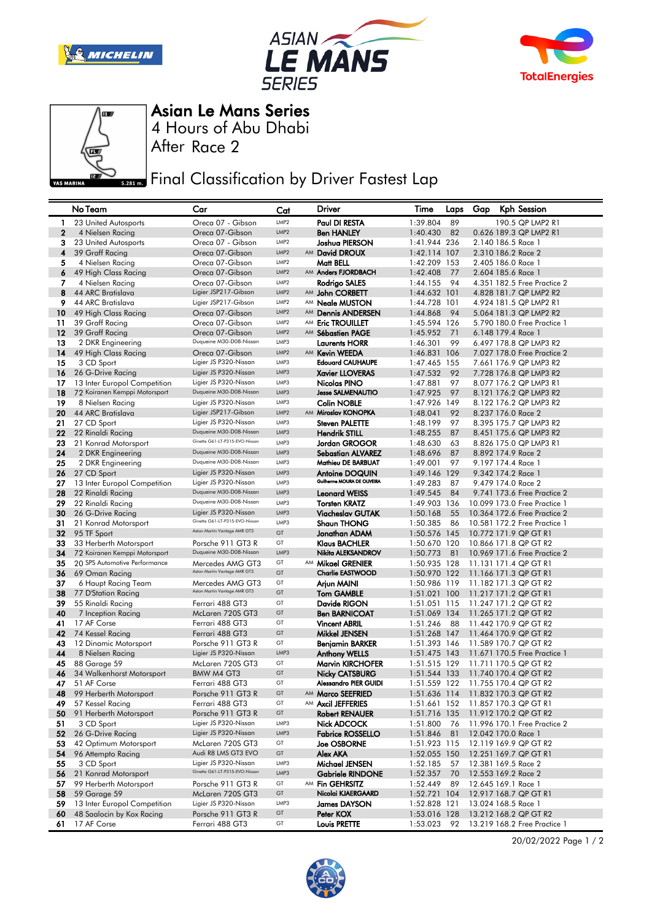







4 Hours of Abu Dhabi Asian Le Mans Series

After Race 2

**Final Classification by Driver Fastest Lap** 

|                  | No Team                       | Car                            | Cat              | Driver                       | Time         | Laps | Gap | Kph Session                        |
|------------------|-------------------------------|--------------------------------|------------------|------------------------------|--------------|------|-----|------------------------------------|
| $\mathbf{1}$     | 23 United Autosports          | Oreca 07 - Gibson              | LMP <sub>2</sub> | Paul DI RESTA                | 1:39.804     | 89   |     | 190.5 QP LMP2 R1                   |
| $\boldsymbol{2}$ | 4 Nielsen Racing              | Oreca 07-Gibson                | LMP <sub>2</sub> | <b>Ben HANLEY</b>            | 1:40.430     | 82   |     | 0.626 189.3 QP LMP2 R1             |
| 3                | 23 United Autosports          | Oreca 07 - Gibson              | LMP2             | Joshua PIERSON               | 1:41.944 236 |      |     | 2.140 186.5 Race 1                 |
| 4                | 39 Graff Racing               | Oreca 07-Gibson                | LMP <sub>2</sub> | AM David DROUX               | 1:42.114 107 |      |     | 2.310 186.2 Race 2                 |
| 5                | 4 Nielsen Racing              | Oreca 07-Gibson                | LMP <sub>2</sub> | Matt BELL                    | 1:42.209 153 |      |     | 2.405 186.0 Race 1                 |
| 6                | 49 High Class Racing          | Oreca 07-Gibson                | LMP <sub>2</sub> | AM Anders FJORDBACH          | 1:42.408     | 77   |     | 2.604 185.6 Race 1                 |
| 7                | 4 Nielsen Racing              | Oreca 07-Gibson                | LMP <sub>2</sub> | Rodrigo SALES                | 1:44.155     | 94   |     | 4.351 182.5 Free Practice 2        |
| 8                | 44 ARC Bratislava             | Ligier JSP217-Gibson           | LMP <sub>2</sub> | AM John CORBETT              | 1:44.632 101 |      |     | 4.828 181.7 QP LMP2 R2             |
| 9                | 44 ARC Bratislava             | Ligier JSP217-Gibson           | LMP <sub>2</sub> | AM <b>Neale MUSTON</b>       | 1:44.728 101 |      |     | 4.924 181.5 QP LMP2 R1             |
| 10               | 49 High Class Racing          | Oreca 07-Gibson                | LMP <sub>2</sub> | AM Dennis ANDERSEN           | 1:44.868     | 94   |     | 5.064 181.3 QP LMP2 R2             |
| 11               | 39 Graff Racing               | Oreca 07-Gibson                | LMP2             | AM Eric TROUILLET            | 1:45.594 126 |      |     | 5.790 180.0 Free Practice 1        |
| 12               | 39 Graff Racing               | Oreca 07-Gibson                | LMP <sub>2</sub> | AM Sébastien PAGE            | 1:45.952     | 71   |     | 6.148 179.4 Race 1                 |
| 13               | 2 DKR Engineering             | Duqueine M30-D08-Nissan        | LMP3             | <b>Laurents HORR</b>         | 1:46.301     | 99   |     | 6.497 178.8 QP LMP3 R2             |
| 14               | 49 High Class Racing          | Oreca 07-Gibson                | LMP <sub>2</sub> | AM Kevin WEEDA               | 1:46.831 106 |      |     | 7.027 178.0 Free Practice 2        |
| 15               | 3 CD Sport                    | Ligier JS P320-Nissan          | LMP3             | <b>Edouard CAUHAUPE</b>      | 1:47.465 155 |      |     | 7.661 176.9 QP LMP3 R2             |
| 16               | 26 G-Drive Racing             | Ligier JS P320-Nissan          | LMP3             | <b>Xavier LLOVERAS</b>       | 1:47.532     | 92   |     | 7.728 176.8 QP LMP3 R2             |
| 17               | 13 Inter Europol Competition  | Ligier JS P320-Nissan          | LMP3             | Nicolas PINO                 | 1:47.881     | 97   |     | 8.077 176.2 QP LMP3 R1             |
| 18               | 72 Koiranen Kemppi Motorsport | Duqueine M30-D08-Nissan        | LMP3             | <b>Jesse SALMENAUTIO</b>     | 1:47.925     | 97   |     | 8.121 176.2 QP LMP3 R2             |
| 19               | 8 Nielsen Racing              | Ligier JS P320-Nissan          | LMP3             | <b>Colin NOBLE</b>           | 1:47.926 149 |      |     | 8.122 176.2 QP LMP3 R2             |
| 20               | 44 ARC Bratislava             | Ligier JSP217-Gibson           | LMP <sub>2</sub> | AM Miroslav KONOPKA          | 1:48.041     | 92   |     | 8.237 176.0 Race 2                 |
| 21               | 27 CD Sport                   | Ligier JS P320-Nissan          | LMP3             | <b>Steven PALETTE</b>        | 1:48.199     | 97   |     | 8.395 175.7 QP LMP3 R2             |
| 22               | 22 Rinaldi Racing             | Duqueine M30-D08-Nissan        | LMP3             | <b>Hendrik STILL</b>         | 1:48.255     | 87   |     | 8.451 175.6 QP LMP3 R2             |
| 23               | 21 Konrad Motorsport          | Ginetta G61-LT-P315-EVO-Nissan | LMP3             | Jordan GROGOR                | 1:48.630     | 63   |     | 8.826 175.0 QP LMP3 R1             |
| 24               | 2 DKR Engineering             | Duqueine M30-D08-Nissan        | LMP3             | <b>Sebastian ALVAREZ</b>     | 1:48.696     | 87   |     | 8.892 174.9 Race 2                 |
| 25               | 2 DKR Engineering             | Duqueine M30-D08-Nissan        | LMP3             | Mathieu DE BARBUAT           | 1:49.001     | 97   |     | 9.197 174.4 Race 1                 |
| 26               | 27 CD Sport                   | Ligier JS P320-Nissan          | LMP3             | Antoine DOQUIN               | 1:49.146     | 129  |     | 9.342 174.2 Race 1                 |
| 27               | 13 Inter Europol Competition  | Ligier JS P320-Nissan          | LMP3             | Guilherme MOURA DE OLIVEIRA  | 1:49.283     | 87   |     | 9.479 174.0 Race 2                 |
| 28               | 22 Rinaldi Racing             | Duqueine M30-D08-Nissan        | LMP3             | <b>Leonard WEISS</b>         | 1:49.545     | 84   |     | 9.741 173.6 Free Practice 2        |
| 29               | 22 Rinaldi Racing             | Duqueine M30-D08-Nissan        | LMP3             | <b>Torsten KRATZ</b>         | 1:49.903 136 |      |     | 10.099 173.0 Free Practice 1       |
| 30               | 26 G-Drive Racing             | Ligier JS P320-Nissan          | LMP3             | <b>Viacheslav GUTAK</b>      | 1:50.168     | 55   |     | 10.364 172.6 Free Practice 2       |
| 31               | 21 Konrad Motorsport          | Ginetta G61-LT-P315-EVO-Nissan | LMP3             | <b>Shaun THONG</b>           | 1:50.385     | 86   |     | 10.581 172.2 Free Practice 1       |
| 32               | 95 TF Sport                   | Aston Martin Vantage AMR GT3   | GT               | Jonathan ADAM                | 1:50.576 145 |      |     | 10.772 171.9 QP GT R1              |
| 33               | 33 Herberth Motorsport        | Porsche 911 GT3 R              | GT               | Klaus BACHLER                | 1:50.670 120 |      |     | 10.866 171.8 QP GT R2              |
| 34               | 72 Koiranen Kemppi Motorsport | Duqueine M30-D08-Nissan        | LMP3             | Nikita ALEKSANDROV           | 1:50.773     | 81   |     | 10.969 171.6 Free Practice 2       |
| 35               | 20 SPS Automotive Performance | Mercedes AMG GT3               | GT               | AM Mikael GRENIER            | 1:50.935 128 |      |     | 11.131 171.4 QP GT R1              |
| 36               | 69 Oman Racing                | Aston Martin Vantage AMR GT3   | GT               | <b>Charlie EASTWOOD</b>      | 1:50.970 122 |      |     | 11.166 171.3 QP GT R1              |
| 37               | 6 Haupt Racing Team           | Mercedes AMG GT3               | GT               | Arjun MAINI                  | 1:50.986 119 |      |     | 11.182 171.3 QP GT R2              |
| 38               | 77 D'Station Racing           | Aston Martin Vantage AMR GT3   | GT               | <b>Tom GAMBLE</b>            | 1:51.021 100 |      |     | 11.217 171.2 QP GT R1              |
| 39               | 55 Rinaldi Racing             | Ferrari 488 GT3                | GT               | Davide RIGON                 | 1:51.051 115 |      |     | 11.247 171.2 QP GT R2              |
| 40               | 7 Inception Racing            | McLaren 720S GT3               | GT               | <b>Ben BARNICOAT</b>         | 1:51.069 134 |      |     | 11.265 171.2 QP GT R2              |
| 41               | 17 AF Corse                   | Ferrari 488 GT3                | GT               | <b>Vincent ABRIL</b>         | 1:51.246     | 88   |     | 11.442 170.9 QP GT R2              |
| 42               | 74 Kessel Racing              | Ferrari 488 GT3                | GT               | Mikkel JENSEN                | 1:51.268 147 |      |     | 11.464 170.9 QP GT R2              |
| 43               | 12 Dinamic Motorsport         | Porsche 911 GT3 R              | GT               | Benjamin BARKER              | 1:51.393 146 |      |     | 11.589 170.7 QP GT R2              |
| 44               | 8 Nielsen Racing              | Ligier JS P320-Nissan          | LMP3             | <b>Anthony WELLS</b>         | 1:51.475 143 |      |     | 11.671 170.5 Free Practice 1       |
| 45               | 88 Garage 59                  | McLaren 720S GT3               | GT               | <b>Marvin KIRCHOFER</b>      | 1:51.515 129 |      |     | 11.711 170.5 QP GT R2              |
| 46               | 34 Walkenhorst Motorsport     | BMW M4 GT3                     | GT               | Nicky CATSBURG               | 1:51.544 133 |      |     | 11.740 170.4 QP GT R2              |
| 47               | 51 AF Corse                   | Ferrari 488 GT3                | GT               | <b>Alessandro PIER GUIDI</b> | 1:51.559 122 |      |     | 11.755 170.4 QP GT R2              |
| 48               | 99 Herberth Motorsport        | Porsche 911 GT3 R              | GT               | AM Marco SEEFRIED            |              |      |     | 1:51.636 114 11.832 170.3 QP GT R2 |
| 49               | 57 Kessel Racing              | Ferrari 488 GT3                | GT               | AM Axcil JEFFERIES           | 1:51.661 152 |      |     | 11.857 170.3 QP GT R1              |
| 50               | 91 Herberth Motorsport        | Porsche 911 GT3 R              | GT               | <b>Robert RENAUER</b>        | 1:51.716 135 |      |     | 11.912 170.2 QP GT R2              |
| 51               | 3 CD Sport                    | Ligier JS P320-Nissan          | LMP3             | Nick ADCOCK                  | 1:51.800     | 76   |     | 11.996 170.1 Free Practice 2       |
| 52               | 26 G-Drive Racing             | Ligier JS P320-Nissan          | LMP3             | <b>Fabrice ROSSELLO</b>      | 1:51.846     | 81   |     | 12.042 170.0 Race 1                |
| 53               | 42 Optimum Motorsport         | McLaren 720S GT3               | GT               | <b>Joe OSBORNE</b>           | 1:51.923 115 |      |     | 12.119 169.9 QP GT R2              |
| 54               | 96 Attempto Racing            | Audi R8 LMS GT3 EVO            | GT               | Alex AKA                     | 1:52.055 150 |      |     | 12.251 169.7 QP GT R1              |
| 55               | 3 CD Sport                    | Ligier JS P320-Nissan          | LMP3             | Michael JENSEN               | 1:52.185     | 57   |     | 12.381 169.5 Race 2                |
| 56               | 21 Konrad Motorsport          | Ginetta G61-LT-P315-EVO-Nissan | LMP3             | <b>Gabriele RINDONE</b>      | 1:52.357     | 70   |     | 12.553 169.2 Race 2                |
| 57               | 99 Herberth Motorsport        | Porsche 911 GT3 R              | GT               | AM Fin GEHRSITZ              | 1:52.449     | 89   |     | 12.645 169.1 Race 1                |
| 58               | 59 Garage 59                  | McLaren 720S GT3               | GT               | Nicolai KJAERGAARD           | 1:52.721 104 |      |     | 12.917 168.7 QP GT R1              |
| 59               | 13 Inter Europol Competition  | Ligier JS P320-Nissan          | LMP3             | <b>James DAYSON</b>          | 1:52.828 121 |      |     | 13.024 168.5 Race 1                |
| 60               | 48 Saalocin by Kox Racing     | Porsche 911 GT3 R              | GT               | Peter KOX                    | 1:53.016 128 |      |     | 13.212 168.2 QP GT R2              |
| 61               | 17 AF Corse                   | Ferrari 488 GT3                | GT               | <b>Louis PRETTE</b>          | 1:53.023     | 92   |     | 13.219 168.2 Free Practice 1       |